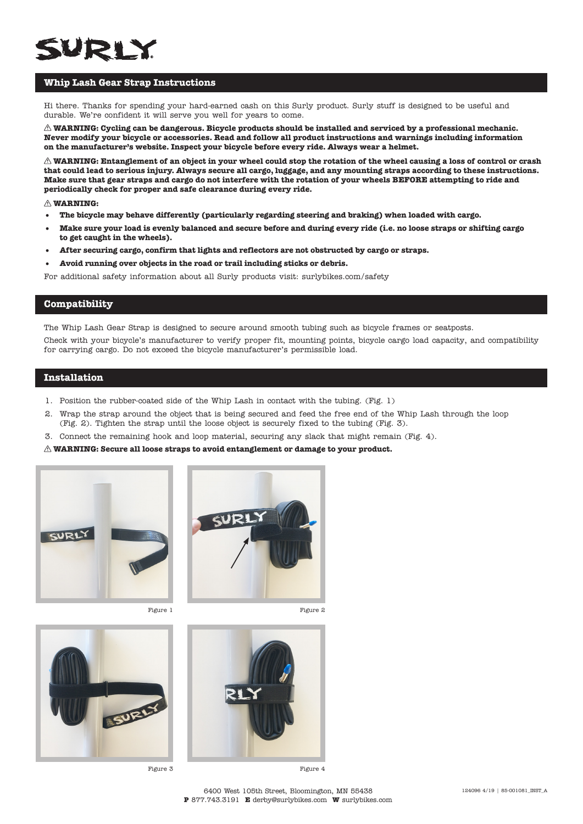## **Whip Lash Gear Strap Instructions**

Hi there. Thanks for spending your hard-earned cash on this Surly product. Surly stuff is designed to be useful and durable. We're confident it will serve you well for years to come.

**WARNING: Cycling can be dangerous. Bicycle products should be installed and serviced by a professional mechanic. Never modify your bicycle or accessories. Read and follow all product instructions and warnings including information on the manufacturer's website. Inspect your bicycle before every ride. Always wear a helmet.**

 $\triangle$  WARNING: Entanglement of an object in your wheel could stop the rotation of the wheel causing a loss of control or crash **that could lead to serious injury. Always secure all cargo, luggage, and any mounting straps according to these instructions. Make sure that gear straps and cargo do not interfere with the rotation of your wheels BEFORE attempting to ride and periodically check for proper and safe clearance during every ride.**

#### **WARNING:**

- **• The bicycle may behave differently (particularly regarding steering and braking) when loaded with cargo.**
- **• Make sure your load is evenly balanced and secure before and during every ride (i.e. no loose straps or shifting cargo to get caught in the wheels).**
- **• After securing cargo, confirm that lights and reflectors are not obstructed by cargo or straps.**
- **• Avoid running over objects in the road or trail including sticks or debris.**

For additional safety information about all Surly products visit: surlybikes.com/safety

#### **Compatibility**

The Whip Lash Gear Strap is designed to secure around smooth tubing such as bicycle frames or seatposts.

Check with your bicycle's manufacturer to verify proper fit, mounting points, bicycle cargo load capacity, and compatibility for carrying cargo. Do not exceed the bicycle manufacturer's permissible load.

### **Installation**

- 1. Position the rubber-coated side of the Whip Lash in contact with the tubing. (Fig. 1)
- 2. Wrap the strap around the object that is being secured and feed the free end of the Whip Lash through the loop (Fig. 2). Tighten the strap until the loose object is securely fixed to the tubing (Fig. 3).
- 3. Connect the remaining hook and loop material, securing any slack that might remain (Fig. 4).
- **WARNING: Secure all loose straps to avoid entanglement or damage to your product.**







Figure 3 Figure 4